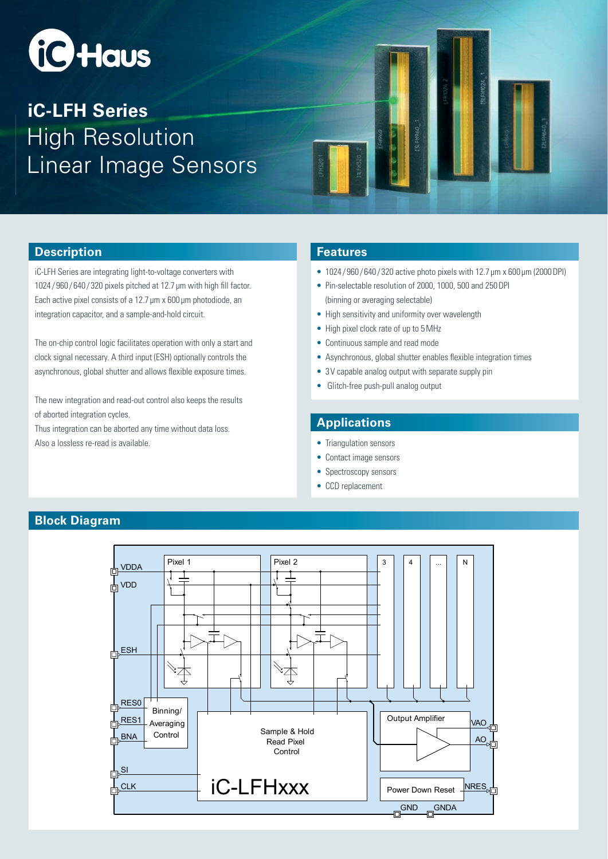

# High Resolution Linear Image Sensors **iC-LFH Series**



#### **Description**

iC-LFH Series are integrating light-to-voltage converters with 1024/960/640/320 pixels pitched at 12.7 μm with high fill factor. Each active pixel consists of a 12.7 μm x 600 μm photodiode, an integration capacitor, and a sample-and-hold circuit.

The on-chip control logic facilitates operation with only a start and clock signal necessary. A third input (ESH) optionally controls the asynchronous, global shutter and allows flexible exposure times.

The new integration and read-out control also keeps the results of aborted integration cycles. Thus integration can be aborted any time without data loss. Also a lossless re-read is available.

#### **Features**

- 1024/960/640/320 active photo pixels with 12.7 μm x 600 μm (2000 DPI)
- s Pin-selectable resolution of 2000, 1000, 500 and 250 DPI (binning or averaging selectable)
- High sensitivity and uniformity over wavelength
- High pixel clock rate of up to 5 MHz
- Continuous sample and read mode
- Asynchronous, global shutter enables flexible integration times
- 3 V capable analog output with separate supply pin
- Glitch-free push-pull analog output

### **Applications**

- Triangulation sensors
- Contact image sensors
- Spectroscopy sensors
- CCD replacement



### **Block Diagram**